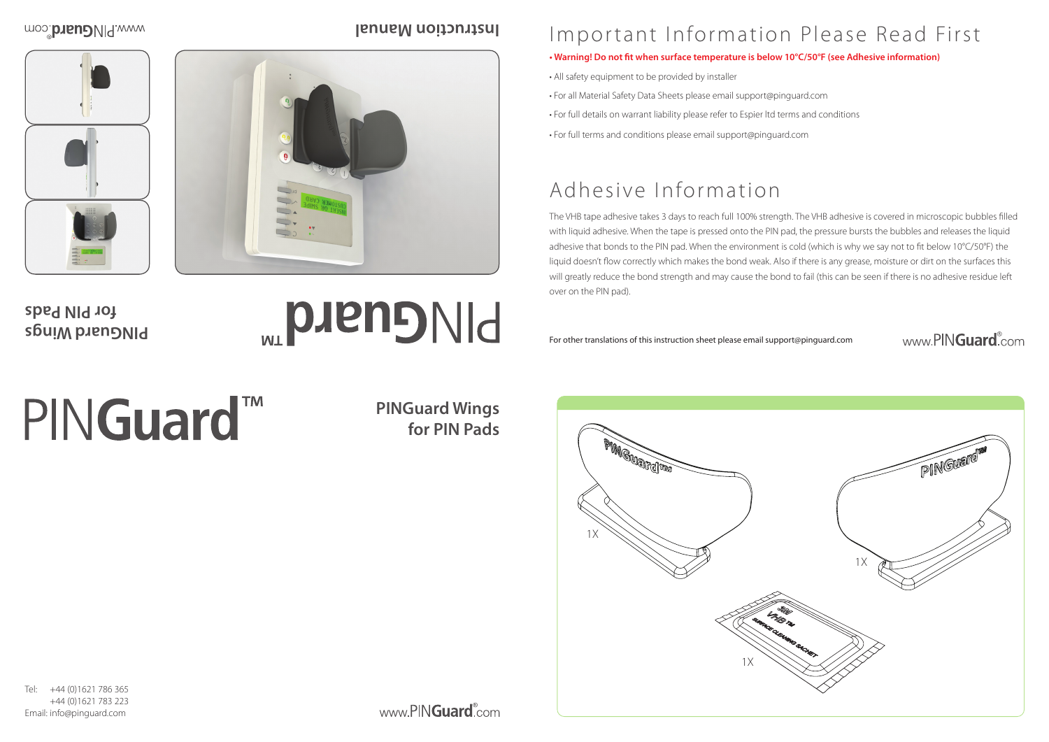

## Important Information Please Read First

- **Warning! Do not fit when surface temperature is below 10°C/50°F (see Adhesive information)**
- All safety equipment to be provided by installer
- For all Material Safety Data Sheets please email support@pinguard.com
- For full details on warrant liability please refer to Espier ltd terms and conditions
- For full terms and conditions please email support@pinguard.com

## Adhesive Information

The VHB tape adhesive takes 3 days to reach full 100% strength. The VHB adhesive is covered in microscopic bubbles filled with liquid adhesive. When the tape is pressed onto the PIN pad, the pressure bursts the bubbles and releases the liquid adhesive that bonds to the PIN pad. When the environment is cold (which is why we say not to fit below 10°C/50°F) the liquid doesn't flow correctly which makes the bond weak. Also if there is any grease, moisture or dirt on the surfaces this will greatly reduce the bond strength and may cause the bond to fail (this can be seen if there is no adhesive residue left over on the PIN pad).

For other translations of this instruction sheet please email support@pinguard.com

# PINGuard<sup>™</sup>

Tel: +44 (0)1621 786 365 +44 (0)1621 783 223 Email: info@pinguard.com

www.PINGuard<sup>®</sup>com

#### www.PINGuard.com

**PINGuard Wings for PIN Pads**

**PINGuard Wings for PIN Pads**

## **PINGuard**

#### moo: brieual.com